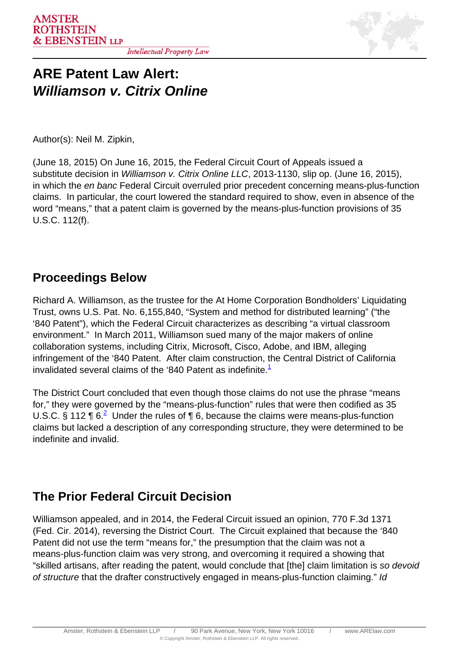

## **ARE Patent Law Alert: Williamson v. Citrix Online**

Author(s): Neil M. Zipkin,

(June 18, 2015) On June 16, 2015, the Federal Circuit Court of Appeals issued a substitute decision in Williamson v. Citrix Online LLC, 2013-1130, slip op. (June 16, 2015), in which the en banc Federal Circuit overruled prior precedent concerning means-plus-function claims. In particular, the court lowered the standard required to show, even in absence of the word "means," that a patent claim is governed by the means-plus-function provisions of 35 U.S.C. 112(f).

## **Proceedings Below**

Richard A. Williamson, as the trustee for the At Home Corporation Bondholders' Liquidating Trust, owns U.S. Pat. No. 6,155,840, "System and method for distributed learning" ("the '840 Patent"), which the Federal Circuit characterizes as describing "a virtual classroom environment." In March 2011, Williamson sued many of the major makers of online collaboration systems, including Citrix, Microsoft, Cisco, Adobe, and IBM, alleging infringement of the '840 Patent. After claim construction, the Central District of California invalidated several claims of the '840 Patent as indefinite. $<sup>1</sup>$  $<sup>1</sup>$  $<sup>1</sup>$ </sup>

The District Court concluded that even though those claims do not use the phrase "means for," they were governed by the "means-plus-function" rules that were then codified as 35 U.S.C. § 112  $\P 6.2$  Under the rules of  $\P 6$ , because the claims were means-plus-function claims but lacked a description of any corresponding structure, they were determined to be indefinite and invalid.

## **The Prior Federal Circuit Decision**

Williamson appealed, and in 2014, the Federal Circuit issued an opinion, 770 F.3d 1371 (Fed. Cir. 2014), reversing the District Court. The Circuit explained that because the '840 Patent did not use the term "means for," the presumption that the claim was not a means-plus-function claim was very strong, and overcoming it required a showing that "skilled artisans, after reading the patent, would conclude that [the] claim limitation is so devoid of structure that the drafter constructively engaged in means-plus-function claiming." Id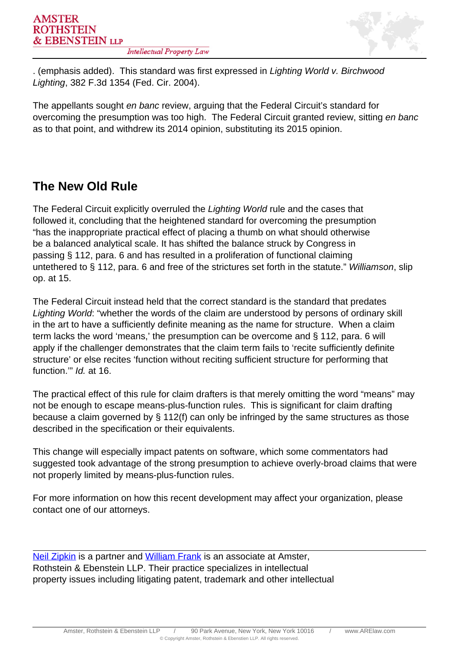

. (emphasis added). This standard was first expressed in Lighting World v. Birchwood Lighting, 382 F.3d 1354 (Fed. Cir. 2004).

The appellants sought en banc review, arguing that the Federal Circuit's standard for overcoming the presumption was too high. The Federal Circuit granted review, sitting en banc as to that point, and withdrew its 2014 opinion, substituting its 2015 opinion.

## **The New Old Rule**

The Federal Circuit explicitly overruled the Lighting World rule and the cases that followed it, concluding that the heightened standard for overcoming the presumption "has the inappropriate practical effect of placing a thumb on what should otherwise be a balanced analytical scale. It has shifted the balance struck by Congress in passing § 112, para. 6 and has resulted in a proliferation of functional claiming untethered to § 112, para. 6 and free of the strictures set forth in the statute." Williamson, slip op. at 15.

The Federal Circuit instead held that the correct standard is the standard that predates Lighting World: "whether the words of the claim are understood by persons of ordinary skill in the art to have a sufficiently definite meaning as the name for structure. When a claim term lacks the word 'means,' the presumption can be overcome and § 112, para. 6 will apply if the challenger demonstrates that the claim term fails to 'recite sufficiently definite structure' or else recites 'function without reciting sufficient structure for performing that function." *Id.* at 16.

The practical effect of this rule for claim drafters is that merely omitting the word "means" may not be enough to escape means-plus-function rules. This is significant for claim drafting because a claim governed by § 112(f) can only be infringed by the same structures as those described in the specification or their equivalents.

This change will especially impact patents on software, which some commentators had suggested took advantage of the strong presumption to achieve overly-broad claims that were not properly limited by means-plus-function rules.

For more information on how this recent development may affect your organization, please contact one of our attorneys.

Neil Zipkin is a partner and William Frank is an associate at Amster, Rothstein & Ebenstein LLP. Their practice specializes in intellectual property issues including litigating patent, trademark and other intellectual